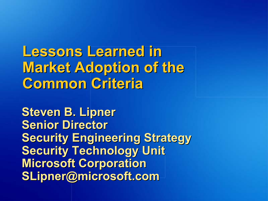Lessons Learned in **Market Adoption of the Common Criteria** 

**Steven B. Lipner Senior Director Security Engineering Strategy Security Technology Unit Microsoft Corporation** SLipner@microsoft.com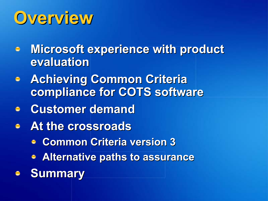### **Overview**

- $\blacksquare$  Microsoft experience with product evaluation
- **E** Achieving Common Criteria compliance for COTS software
- **Customer demand**
- At the crossroads
	- **Common Criteria version 3**
	- **Alternative paths to assurance**
- **Summary**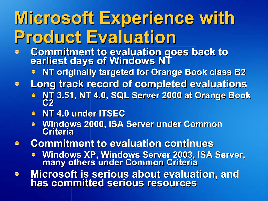## Microsoft Experience with Product Evaluation

- Commitment to evaluation goes back to Commitment to evaluation goes back to
	- NT originally targeted for Orange Book class B2

Long track record of completed evaluations 

- NT 3.51, NT 4.0, SQL Server 2000 at Orange Book
- NT 4.0 under ITSEC
- **Windows 2000, ISA Server under Common Criteria**
- **Commitment to evaluation continues**  $\bullet$ 
	- **EXTERN WINDOWS Server 2003, ISA Server, Windows XP, Windows Server, 2003, ISA Server, many others under Common Criteria**
- Microsoft is serious about evaluation, and<br>has committed serious resources  $\bullet$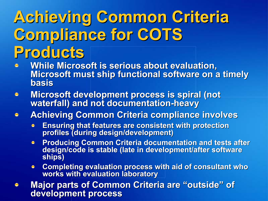### **Achieving Common Criteria** Compliance for COTS Products

- While Microsoft is serious about evaluation, Microsoft must ship functional software on a timely basis
- Microsoft development process is spiral (not<br>waterfall) and not documentation-heavy  $\bullet$
- **Achieving Common Criteria compliance involves**  $\bullet$ 
	- Ensuring that features are consistent with protection profiles (during design/development)
	- **Producing Common Criteria documentation and tests after design/code is stable (late in development/after software ships)**
	- Completing evaluation process with aid of consultant who works with evaluation laboratory
- Major parts of Common Criteria are "outside  $"$  of  $\bullet$ development process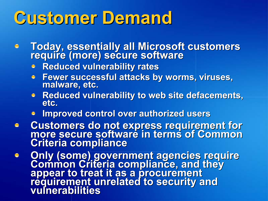### **Customer Demand**

- **Today, essentially all Microsoft customers require (more) secure software** 
	- **Reduced vulnerability rates**
	- Fewer successful attacks by worms, viruses,<br>malware, etc.
	- **Reduced vulnerability to web site defacements,<br>etc.**
	- **Improved control over authorized users**
- **Customers do not express requirement for<br>Inot express requirement for more secure software in terms of Common** Criteria compliance
- Only (some) government agencies require<br>Common Criteria compliance, and they<br>appear to treat it as a procurement<br>requirement unrelated to security and<br>vulnerabilities  $\bullet$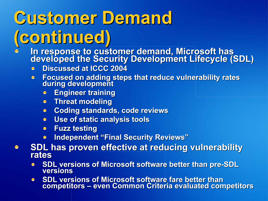# **Customer Demand** (continued) (continued)

- In response to customer demand, Microsoft has<br>developed the Security Development Lifecycle (SDL)
	- Discussed at ICCC 2004
	- Focused on adding steps that reduce vulnerability rates during development  $\bullet$ 
		- **Engineer training**  $\bullet$
		- **Threat modeling**  $\bullet$
		- **Coding standards, code reviews**  $\bullet$
		- Use of static analysis tools  $\bullet$
		- **Fuzz testing**  $\bullet$
		- Independent "Final Security Reviews"  $\bullet$
- SDL has proven effective at reducing vulnerability rates  $\bullet$ 
	- SDL versions of Microsoft software better than pre-SDL versions
	- SDL versions of Microsoft software fare better than<br>competitors even Common Criteria evaluated com  $\bullet$ – even Common Criteria evaluated competitors  $\mathcal{L}_{\mathcal{A}}$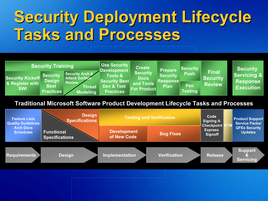### Security Deployment Lifecycle Tasks and Processes



### Traditional Microsoft Software Product Development Lifecycle Tasks and Processes

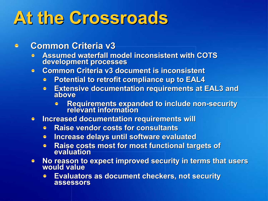### At the Crossroads

#### Common Criteria v3  $\oplus$

- Assumed waterfall model inconsistent with COTS development processes
- Common Criteria v3 document is inconsistent  $\bullet$ 
	- **Potential to retrofit compliance up to EAL4**
	- **Extensive documentation requirements at EAL3 and above**  $\bullet$ 
		- Requirements expanded to include non-security<br>relevant information
- Increased documentation requirements will  $\bullet$ 
	- Raise vendor costs for consultants  $\bullet$
	- Increase delays until software evaluated  $\bullet$
	- Raise costs most for most functional targets of  $\bullet$ evaluation
- No reason to expect improved security in terms that users<br>would value  $\bullet$ 
	- Evaluators as document checkers, not security Evaluators as document checkers, not security  $\bullet$ assessors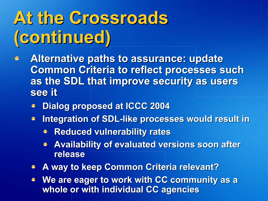## At the Crossroads (continued) (continued)

- Alternative paths to assurance: update  $\bullet$ **Common Criteria to reflect processes such** as the SDL that improve security as users see it
	- Dialog proposed at ICCC 2004
	- Integration of SDL-like processes would result in  $\bullet$ 
		- **Reduced vulnerability rates**
		- **Availability of evaluated versions soon after** release
	- **A way to keep Common Criteria relevant?**
	- We are eager to work with CC community as a whole or with individual CC agencies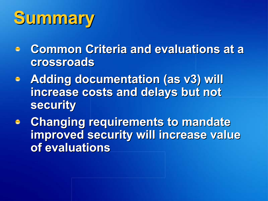## Summary Summary

- **Common Criteria and evaluations at a** crossroads
- **Adding documentation (as v3) will** increase costs and delays but not security
- **c** Changing requirements to mandate improved security will increase value of evaluations